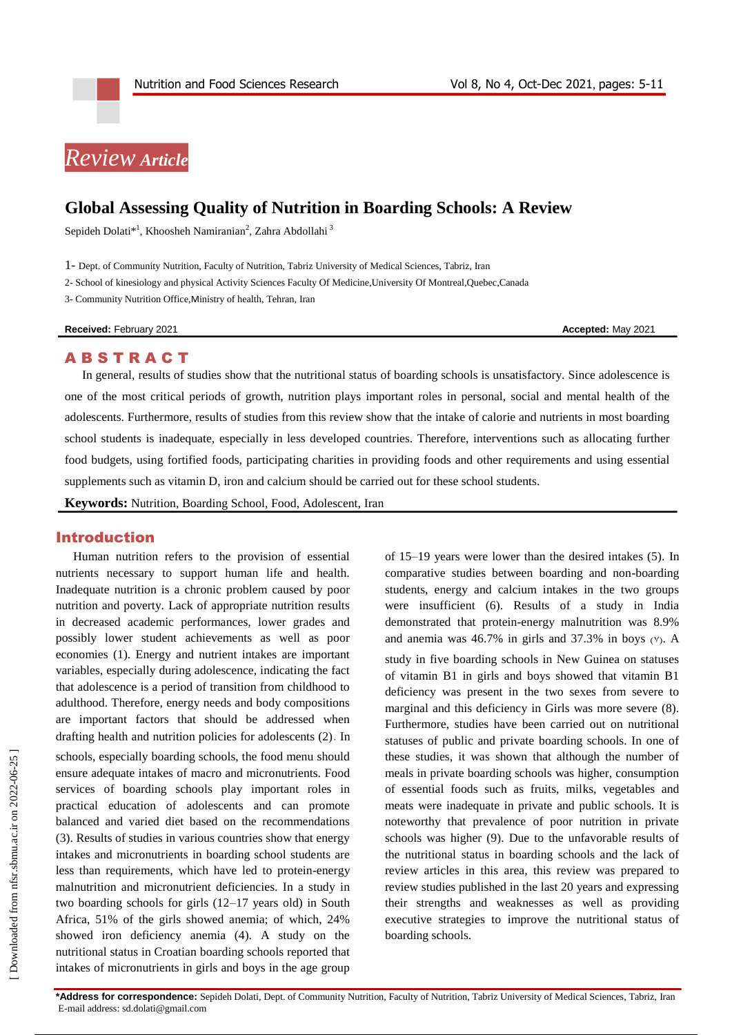# *Review Article*

## **Global Assessing Quality of Nutrition in Boarding Schools: A Review**

Sepideh Dolati $^{*1}$ [, Khoosheh Namiranian](http://nfsr.sbmu.ac.ir/search.php?slc_lang=en&sid=1&auth=namiranian)<sup>2</sup>[, Zahra Abdollahi](http://nfsr.sbmu.ac.ir/search.php?slc_lang=en&sid=1&auth=abdollahi) <sup>3</sup>

1- Dept. of Community Nutrition, Faculty of Nutrition, Tabriz University of Medical Sciences, Tabriz, Iran

2- School of kinesiology and physical Activity Sciences Faculty Of Medicine,University Of Montreal,Quebec,Canada

3- Community Nutrition Office,Ministry of health, Tehran, Iran

**Received: February 2021 Accepted: May 2021 Accepted: May 2021** 

#### **ABSTRACT**

In general, results of studies show that the nutritional status of boarding schools is unsatisfactory. Since adolescence is one of the most critical periods of growth, nutrition plays important roles in personal, social and mental health of the adolescents. Furthermore, results of studies from this review show that the intake of calorie and nutrients in most boarding school students is inadequate, especially in less developed countries. Therefore, interventions such as allocating further food budgets, using fortified foods, participating charities in providing foods and other requirements and using essential supplements such as vitamin D, iron and calcium should be carried out for these school students.

**Keywords:** Nutrition, Boarding School, Food, Adolescent, Iran

### Introduction

Human nutrition refers to the provision of essential nutrients necessary to support human life and health. Inadequate nutrition is a chronic problem caused by poor nutrition and poverty. Lack of appropriate nutrition results in decreased academic performances, lower grades and possibly lower student achievements as well as poor economies (1). Energy and nutrient intakes are important variables, especially during adolescence, indicating the fact that adolescence is a period of transition from childhood to adulthood. Therefore, energy needs and body compositions are important factors that should be addressed when drafting health and nutrition policies for adolescents (2). In schools, especially boarding schools, the food menu should ensure adequate intakes of macro and micronutrients. Food services of boarding schools play important roles in practical education of adolescents and can promote balanced and varied diet based on the recommendations (3). Results of studies in various countries show that energy intakes and micronutrients in boarding school students are less than requirements, which have led to protein-energy malnutrition and micronutrient deficiencies. In a study in two boarding schools for girls (12–17 years old) in South Africa, 51% of the girls showed anemia; of which, 24% showed iron deficiency anemia (4). A study on the nutritional status in Croatian boarding schools reported that intakes of micronutrients in girls and boys in the age group of 15–19 years were lower than the desired intakes (5). In comparative studies between boarding and non-boarding students, energy and calcium intakes in the two groups were insufficient (6). Results of a study in India demonstrated that protein-energy malnutrition was 8.9% and anemia was  $46.7\%$  in girls and  $37.3\%$  in boys (Y). A study in five boarding schools in New Guinea on statuses of vitamin B1 in girls and boys showed that vitamin B1 deficiency was present in the two sexes from severe to marginal and this deficiency in Girls was more severe (8). Furthermore, studies have been carried out on nutritional statuses of public and private boarding schools. In one of these studies, it was shown that although the number of meals in private boarding schools was higher, consumption of essential foods such as fruits, milks, vegetables and meats were inadequate in private and public schools. It is noteworthy that prevalence of poor nutrition in private schools was higher (9). Due to the unfavorable results of the nutritional status in boarding schools and the lack of review articles in this area, this review was prepared to review studies published in the last 20 years and expressing their strengths and weaknesses as well as providing executive strategies to improve the nutritional status of boarding schools.

**\*Address for correspondence:** Sepideh Dolati, Dept. of Community Nutrition, Faculty of Nutrition, Tabriz University of Medical Sciences, Tabriz, Iran E-mail address[: sd.dolati@gmail.com](mailto:sd.dolati@gmail.com)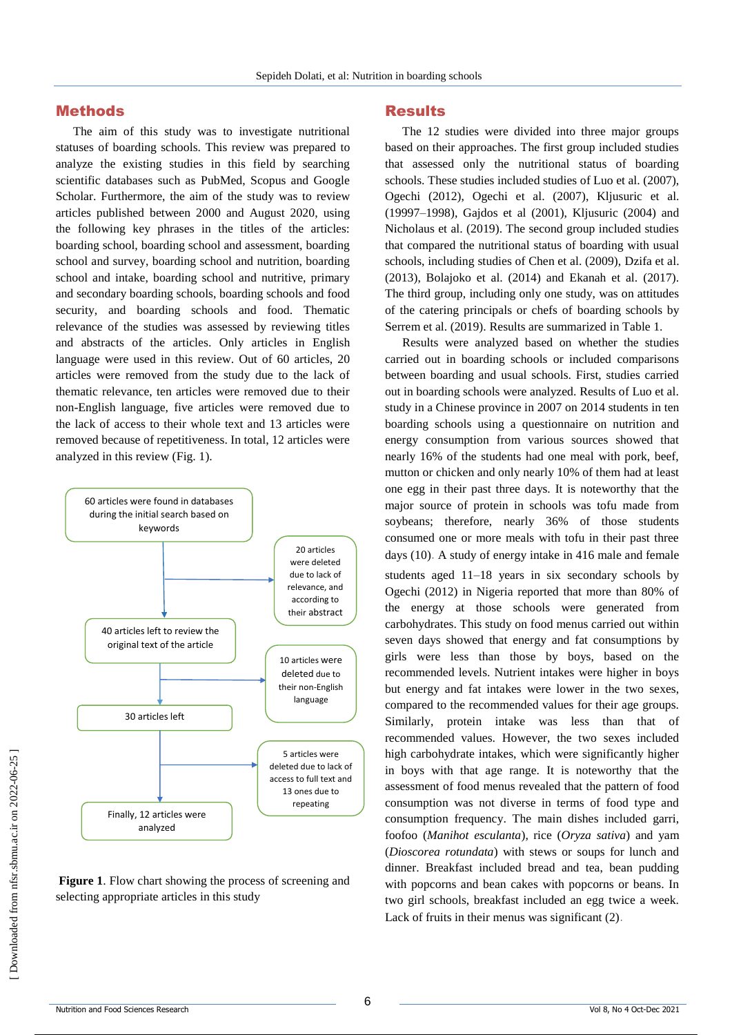#### Methods

The aim of this study was to investigate nutritional statuses of boarding schools. This review was prepared to analyze the existing studies in this field by searching scientific databases such as PubMed, Scopus and Google Scholar. Furthermore, the aim of the study was to review articles published between 2000 and August 2020, using the following key phrases in the titles of the articles: boarding school, boarding school and assessment, boarding school and survey, boarding school and nutrition, boarding school and intake, boarding school and nutritive, primary and secondary boarding schools, boarding schools and food security, and boarding schools and food. Thematic relevance of the studies was assessed by reviewing titles and abstracts of the articles. Only articles in English language were used in this review. Out of 60 articles, 20 articles were removed from the study due to the lack of thematic relevance, ten articles were removed due to their non-English language, five articles were removed due to the lack of access to their whole text and 13 articles were removed because of repetitiveness. In total, 12 articles were analyzed in this review (Fig. 1).



**Figure 1**. Flow chart showing the process of screening and selecting appropriate articles in this study

#### Results

The 12 studies were divided into three major groups based on their approaches. The first group included studies that assessed only the nutritional status of boarding schools. These studies included studies of Luo et al. (2007), Ogechi (2012), Ogechi et al. (2007), Kljusuric et al. (19997–1998), Gajdos et al (2001), Kljusuric (2004) and Nicholaus et al. (2019). The second group included studies that compared the nutritional status of boarding with usual schools, including studies of Chen et al. (2009), Dzifa et al. (2013), Bolajoko et al. (2014) and Ekanah et al. (2017). The third group, including only one study, was on attitudes of the catering principals or chefs of boarding schools by Serrem et al. (2019). Results are summarized in Table 1.

Results were analyzed based on whether the studies carried out in boarding schools or included comparisons between boarding and usual schools. First, studies carried out in boarding schools were analyzed. Results of Luo et al. study in a Chinese province in 2007 on 2014 students in ten boarding schools using a questionnaire on nutrition and energy consumption from various sources showed that nearly 16% of the students had one meal with pork, beef, mutton or chicken and only nearly 10% of them had at least one egg in their past three days. It is noteworthy that the major source of protein in schools was tofu made from soybeans; therefore, nearly 36% of those students consumed one or more meals with tofu in their past three days (10). A study of energy intake in 416 male and female

students aged 11–18 years in six secondary schools by Ogechi (2012) in Nigeria reported that more than 80% of the energy at those schools were generated from carbohydrates. This study on food menus carried out within seven days showed that energy and fat consumptions by girls were less than those by boys, based on the recommended levels. Nutrient intakes were higher in boys but energy and fat intakes were lower in the two sexes, compared to the recommended values for their age groups. Similarly, protein intake was less than that of recommended values. However, the two sexes included high carbohydrate intakes, which were significantly higher in boys with that age range. It is noteworthy that the assessment of food menus revealed that the pattern of food consumption was not diverse in terms of food type and consumption frequency. The main dishes included garri, foofoo (*Manihot esculanta*), rice (*Oryza sativa*) and yam (*Dioscorea rotundata*) with stews or soups for lunch and dinner. Breakfast included bread and tea, bean pudding with popcorns and bean cakes with popcorns or beans. In two girl schools, breakfast included an egg twice a week. Lack of fruits in their menus was significant (2).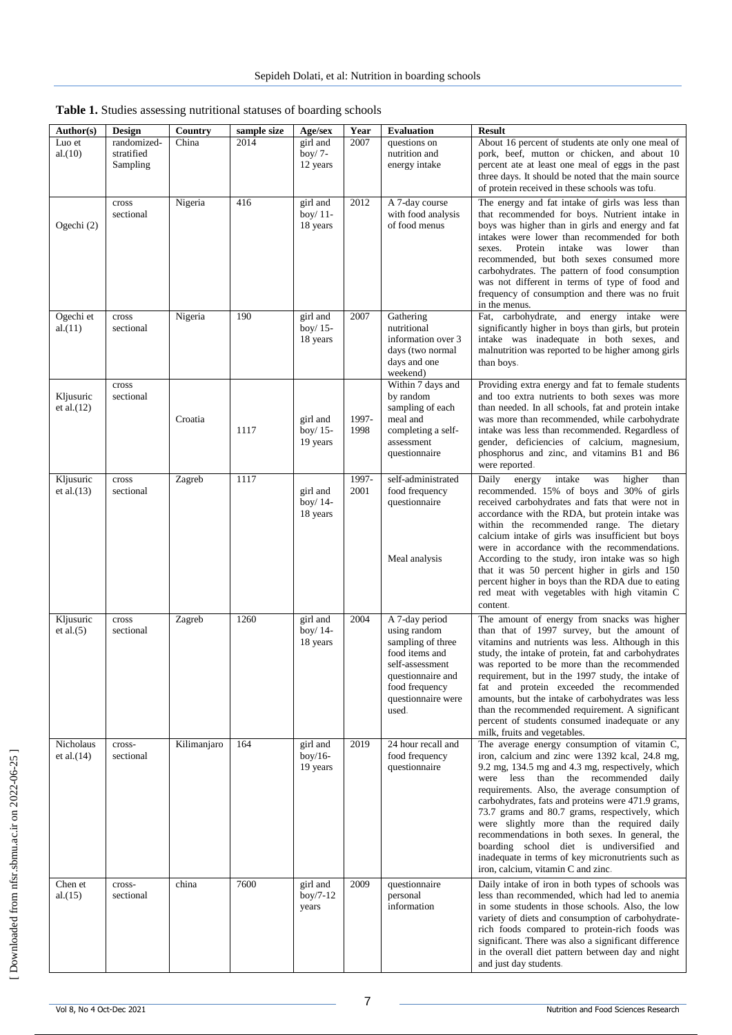| Author(s)                  | Design                                | Country     | sample size | Age/sex                            | Year          | <b>Evaluation</b>                                                                                                                                              | <b>Result</b>                                                                                                                                                                                                                                                                                                                                                                                                                                                                                                                                                                                 |
|----------------------------|---------------------------------------|-------------|-------------|------------------------------------|---------------|----------------------------------------------------------------------------------------------------------------------------------------------------------------|-----------------------------------------------------------------------------------------------------------------------------------------------------------------------------------------------------------------------------------------------------------------------------------------------------------------------------------------------------------------------------------------------------------------------------------------------------------------------------------------------------------------------------------------------------------------------------------------------|
| Luo et<br>al.(10)          | randomized-<br>stratified<br>Sampling | China       | 2014        | girl and<br>boy/ $7-$<br>12 years  | 2007          | questions on<br>nutrition and<br>energy intake                                                                                                                 | About 16 percent of students ate only one meal of<br>pork, beef, mutton or chicken, and about 10<br>percent ate at least one meal of eggs in the past<br>three days. It should be noted that the main source<br>of protein received in these schools was tofu.                                                                                                                                                                                                                                                                                                                                |
| Ogechi (2)                 | cross<br>sectional                    | Nigeria     | 416         | girl and<br>boy/ 11-<br>18 years   | 2012          | A 7-day course<br>with food analysis<br>of food menus                                                                                                          | The energy and fat intake of girls was less than<br>that recommended for boys. Nutrient intake in<br>boys was higher than in girls and energy and fat<br>intakes were lower than recommended for both<br>Protein<br>intake<br>was<br>lower<br>sexes.<br>than<br>recommended, but both sexes consumed more<br>carbohydrates. The pattern of food consumption<br>was not different in terms of type of food and<br>frequency of consumption and there was no fruit<br>in the menus.                                                                                                             |
| Ogechi et<br>al.(11)       | cross<br>sectional                    | Nigeria     | 190         | girl and<br>boy/ $15-$<br>18 years | 2007          | Gathering<br>nutritional<br>information over 3<br>days (two normal<br>days and one<br>weekend)                                                                 | Fat, carbohydrate, and energy intake were<br>significantly higher in boys than girls, but protein<br>intake was inadequate in both sexes, and<br>malnutrition was reported to be higher among girls<br>than boys.                                                                                                                                                                                                                                                                                                                                                                             |
| Kljusuric<br>et al. $(12)$ | cross<br>sectional                    | Croatia     | 1117        | girl and<br>boy/ $15-$<br>19 years | 1997-<br>1998 | Within 7 days and<br>by random<br>sampling of each<br>meal and<br>completing a self-<br>assessment<br>questionnaire                                            | Providing extra energy and fat to female students<br>and too extra nutrients to both sexes was more<br>than needed. In all schools, fat and protein intake<br>was more than recommended, while carbohydrate<br>intake was less than recommended. Regardless of<br>gender, deficiencies of calcium, magnesium,<br>phosphorus and zinc, and vitamins B1 and B6<br>were reported.                                                                                                                                                                                                                |
| Kljusuric<br>et al. $(13)$ | cross<br>sectional                    | Zagreb      | 1117        | girl and<br>boy/ 14-<br>18 years   | 1997-<br>2001 | self-administrated<br>food frequency<br>questionnaire<br>Meal analysis                                                                                         | intake<br>higher<br>Daily<br>energy<br>was<br>than<br>recommended. 15% of boys and 30% of girls<br>received carbohydrates and fats that were not in<br>accordance with the RDA, but protein intake was<br>within the recommended range. The dietary<br>calcium intake of girls was insufficient but boys<br>were in accordance with the recommendations.<br>According to the study, iron intake was so high<br>that it was 50 percent higher in girls and 150<br>percent higher in boys than the RDA due to eating<br>red meat with vegetables with high vitamin C<br>content.                |
| Kljusuric<br>et al. $(5)$  | cross<br>sectional                    | Zagreb      | 1260        | girl and<br>boy/ 14-<br>18 years   | 2004          | A 7-day period<br>using random<br>sampling of three<br>food items and<br>self-assessment<br>questionnaire and<br>food frequency<br>questionnaire were<br>used. | The amount of energy from snacks was higher<br>than that of 1997 survey, but the amount of<br>vitamins and nutrients was less. Although in this<br>study, the intake of protein, fat and carbohydrates<br>was reported to be more than the recommended<br>requirement, but in the 1997 study, the intake of<br>fat and protein exceeded the recommended<br>amounts, but the intake of carbohydrates was less<br>than the recommended requirement. A significant<br>percent of students consumed inadequate or any<br>milk, fruits and vegetables.                                             |
| Nicholaus<br>et al. $(14)$ | cross-<br>sectional                   | Kilimanjaro | 164         | girl and<br>$boy/16-$<br>19 years  | 2019          | 24 hour recall and<br>food frequency<br>questionnaire                                                                                                          | The average energy consumption of vitamin C,<br>iron, calcium and zinc were 1392 kcal, 24.8 mg,<br>9.2 mg, 134.5 mg and 4.3 mg, respectively, which<br>were less than the recommended daily<br>requirements. Also, the average consumption of<br>carbohydrates, fats and proteins were 471.9 grams,<br>73.7 grams and 80.7 grams, respectively, which<br>were slightly more than the required daily<br>recommendations in both sexes. In general, the<br>boarding school diet is undiversified and<br>inadequate in terms of key micronutrients such as<br>iron, calcium, vitamin C and zinc. |
| Chen et<br>al.(15)         | cross-<br>sectional                   | china       | 7600        | girl and<br>$boy/7-12$<br>years    | 2009          | questionnaire<br>personal<br>information                                                                                                                       | Daily intake of iron in both types of schools was<br>less than recommended, which had led to anemia<br>in some students in those schools. Also, the low<br>variety of diets and consumption of carbohydrate-<br>rich foods compared to protein-rich foods was<br>significant. There was also a significant difference<br>in the overall diet pattern between day and night<br>and just day students.                                                                                                                                                                                          |

| Table 1. Studies assessing nutritional statuses of boarding schools |  |
|---------------------------------------------------------------------|--|
|---------------------------------------------------------------------|--|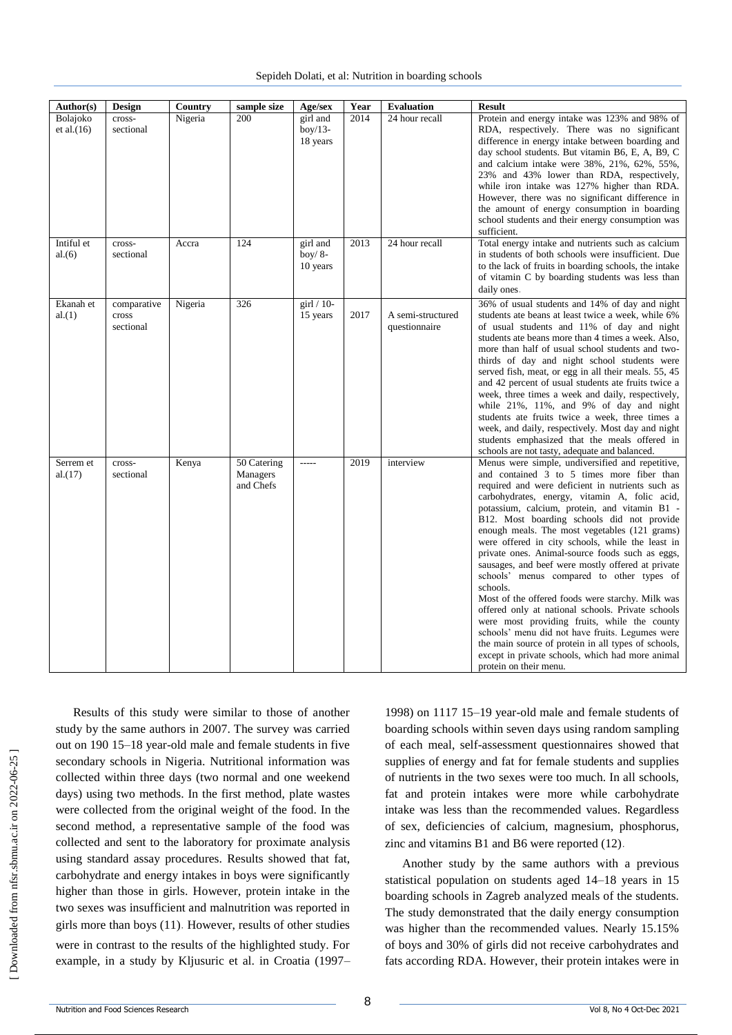| Author(s)                 | Design                            | Country | sample size                          | Age/sex                                  | Year | <b>Evaluation</b>                  | <b>Result</b>                                                                                                                                                                                                                                                                                                                                                                                                                                                                                                                                                                                                                                                                                                                                                                                                                                                                                                                          |
|---------------------------|-----------------------------------|---------|--------------------------------------|------------------------------------------|------|------------------------------------|----------------------------------------------------------------------------------------------------------------------------------------------------------------------------------------------------------------------------------------------------------------------------------------------------------------------------------------------------------------------------------------------------------------------------------------------------------------------------------------------------------------------------------------------------------------------------------------------------------------------------------------------------------------------------------------------------------------------------------------------------------------------------------------------------------------------------------------------------------------------------------------------------------------------------------------|
| Bolajoko<br>et al. $(16)$ | cross-<br>sectional               | Nigeria | 200                                  | girl and<br>$box/13-$<br>18 years        | 2014 | 24 hour recall                     | Protein and energy intake was 123% and 98% of<br>RDA, respectively. There was no significant<br>difference in energy intake between boarding and<br>day school students. But vitamin B6, E, A, B9, C<br>and calcium intake were 38%, 21%, 62%, 55%,<br>23% and 43% lower than RDA, respectively,<br>while iron intake was 127% higher than RDA.<br>However, there was no significant difference in<br>the amount of energy consumption in boarding<br>school students and their energy consumption was<br>sufficient.                                                                                                                                                                                                                                                                                                                                                                                                                  |
| Intiful et<br>al.(6)      | cross-<br>sectional               | Accra   | 124                                  | girl and<br>boy/ $8-$<br>10 years        | 2013 | 24 hour recall                     | Total energy intake and nutrients such as calcium<br>in students of both schools were insufficient. Due<br>to the lack of fruits in boarding schools, the intake<br>of vitamin C by boarding students was less than<br>daily ones.                                                                                                                                                                                                                                                                                                                                                                                                                                                                                                                                                                                                                                                                                                     |
| Ekanah et<br>al.(1)       | comparative<br>cross<br>sectional | Nigeria | 326                                  | $\left  \sin \right  / 10$ -<br>15 years | 2017 | A semi-structured<br>questionnaire | 36% of usual students and 14% of day and night<br>students ate beans at least twice a week, while 6%<br>of usual students and 11% of day and night<br>students ate beans more than 4 times a week. Also,<br>more than half of usual school students and two-<br>thirds of day and night school students were<br>served fish, meat, or egg in all their meals. 55, 45<br>and 42 percent of usual students ate fruits twice a<br>week, three times a week and daily, respectively,<br>while $21\%$ , $11\%$ , and $9\%$ of day and night<br>students ate fruits twice a week, three times a<br>week, and daily, respectively. Most day and night<br>students emphasized that the meals offered in<br>schools are not tasty, adequate and balanced.                                                                                                                                                                                       |
| Serrem et<br>al.(17)      | cross-<br>sectional               | Kenya   | 50 Catering<br>Managers<br>and Chefs | -----                                    | 2019 | interview                          | Menus were simple, undiversified and repetitive,<br>and contained $\overline{3}$ to 5 times more fiber than<br>required and were deficient in nutrients such as<br>carbohydrates, energy, vitamin A, folic acid,<br>potassium, calcium, protein, and vitamin B1 -<br>B12. Most boarding schools did not provide<br>enough meals. The most vegetables (121 grams)<br>were offered in city schools, while the least in<br>private ones. Animal-source foods such as eggs,<br>sausages, and beef were mostly offered at private<br>schools' menus compared to other types of<br>schools.<br>Most of the offered foods were starchy. Milk was<br>offered only at national schools. Private schools<br>were most providing fruits, while the county<br>schools' menu did not have fruits. Legumes were<br>the main source of protein in all types of schools,<br>except in private schools, which had more animal<br>protein on their menu. |

 [\[ Downloaded from nfsr.sbmu.ac.ir on 202](http://nfsr.sbmu.ac.ir/article-1-480-en.html)2-06-25 ] Downloaded from nfsr.sbmu.ac.ir on 2022-06-25

Results of this study were similar to those of another study by the same authors in 2007. The survey was carried out on 190 15–18 year-old male and female students in five secondary schools in Nigeria. Nutritional information was collected within three days (two normal and one weekend days) using two methods. In the first method, plate wastes were collected from the original weight of the food. In the second method, a representative sample of the food was collected and sent to the laboratory for proximate analysis using standard assay procedures. Results showed that fat, carbohydrate and energy intakes in boys were significantly higher than those in girls. However, protein intake in the two sexes was insufficient and malnutrition was reported in girls more than boys (11). However, results of other studies were in contrast to the results of the highlighted study. For example, in a study by Kljusuric et al. in Croatia (1997–

1998) on 1117 15–19 year-old male and female students of boarding schools within seven days using random sampling of each meal, self-assessment questionnaires showed that supplies of energy and fat for female students and supplies of nutrients in the two sexes were too much. In all schools, fat and protein intakes were more while carbohydrate intake was less than the recommended values. Regardless of sex, deficiencies of calcium, magnesium, phosphorus, zinc and vitamins B1 and B6 were reported (12).

Another study by the same authors with a previous statistical population on students aged 14–18 years in 15 boarding schools in Zagreb analyzed meals of the students. The study demonstrated that the daily energy consumption was higher than the recommended values. Nearly 15.15% of boys and 30% of girls did not receive carbohydrates and fats according RDA. However, their protein intakes were in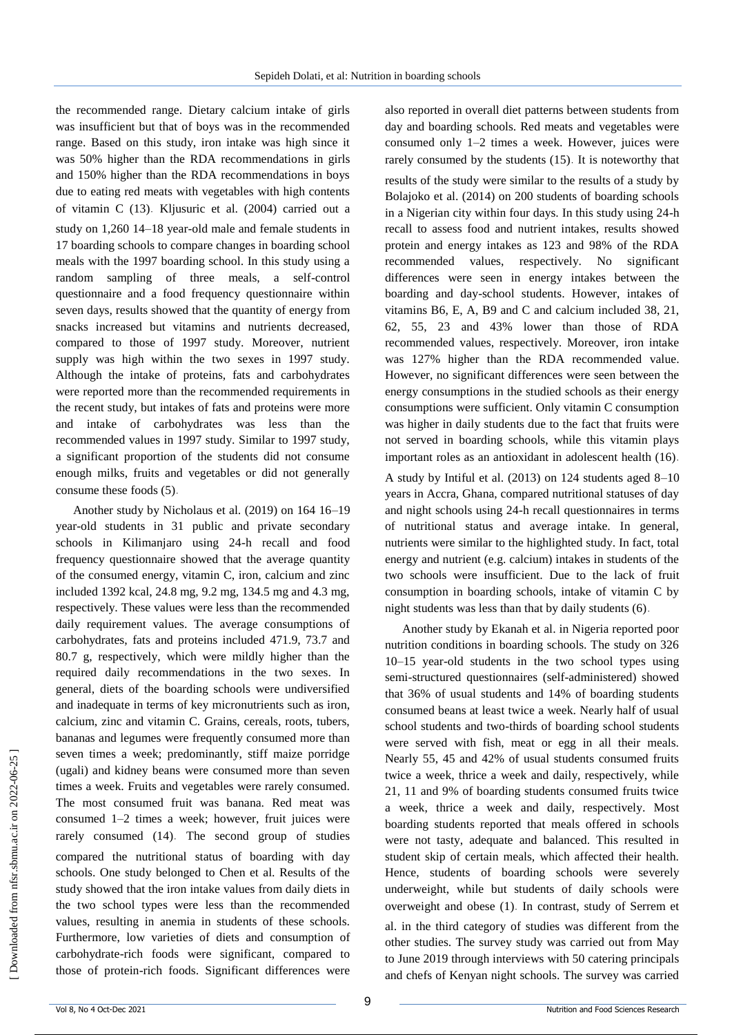the recommended range. Dietary calcium intake of girls was insufficient but that of boys was in the recommended range. Based on this study, iron intake was high since it was 50% higher than the RDA recommendations in girls and 150% higher than the RDA recommendations in boys due to eating red meats with vegetables with high contents of vitamin C (13). Kljusuric et al. (2004) carried out a study on 1,260 14–18 year-old male and female students in 17 boarding schools to compare changes in boarding school meals with the 1997 boarding school. In this study using a random sampling of three meals, a self-control questionnaire and a food frequency questionnaire within seven days, results showed that the quantity of energy from snacks increased but vitamins and nutrients decreased, compared to those of 1997 study. Moreover, nutrient supply was high within the two sexes in 1997 study. Although the intake of proteins, fats and carbohydrates were reported more than the recommended requirements in the recent study, but intakes of fats and proteins were more and intake of carbohydrates was less than the recommended values in 1997 study. Similar to 1997 study, a significant proportion of the students did not consume enough milks, fruits and vegetables or did not generally consume these foods (5).

Another study by Nicholaus et al. (2019) on 164 16–19 year-old students in 31 public and private secondary schools in Kilimanjaro using 24-h recall and food frequency questionnaire showed that the average quantity of the consumed energy, vitamin C, iron, calcium and zinc included 1392 kcal, 24.8 mg, 9.2 mg, 134.5 mg and 4.3 mg, respectively. These values were less than the recommended daily requirement values. The average consumptions of carbohydrates, fats and proteins included 471.9, 73.7 and 80.7 g, respectively, which were mildly higher than the required daily recommendations in the two sexes. In general, diets of the boarding schools were undiversified and inadequate in terms of key micronutrients such as iron, calcium, zinc and vitamin C. Grains, cereals, roots, tubers, bananas and legumes were frequently consumed more than seven times a week; predominantly, stiff maize porridge (ugali) and kidney beans were consumed more than seven times a week. Fruits and vegetables were rarely consumed. The most consumed fruit was banana. Red meat was consumed 1–2 times a week; however, fruit juices were rarely consumed (14). The second group of studies compared the nutritional status of boarding with day schools. One study belonged to Chen et al. Results of the study showed that the iron intake values from daily diets in the two school types were less than the recommended values, resulting in anemia in students of these schools. Furthermore, low varieties of diets and consumption of carbohydrate-rich foods were significant, compared to those of protein-rich foods. Significant differences were also reported in overall diet patterns between students from day and boarding schools. Red meats and vegetables were consumed only 1–2 times a week. However, juices were rarely consumed by the students (15). It is noteworthy that results of the study were similar to the results of a study by Bolajoko et al. (2014) on 200 students of boarding schools in a Nigerian city within four days. In this study using 24-h recall to assess food and nutrient intakes, results showed protein and energy intakes as 123 and 98% of the RDA recommended values, respectively. No significant differences were seen in energy intakes between the boarding and day-school students. However, intakes of vitamins B6, E, A, B9 and C and calcium included 38, 21, 62, 55, 23 and 43% lower than those of RDA recommended values, respectively. Moreover, iron intake was 127% higher than the RDA recommended value. However, no significant differences were seen between the energy consumptions in the studied schools as their energy consumptions were sufficient. Only vitamin C consumption was higher in daily students due to the fact that fruits were not served in boarding schools, while this vitamin plays important roles as an antioxidant in adolescent health (16).

A study by Intiful et al. (2013) on 124 students aged 8–10 years in Accra, Ghana, compared nutritional statuses of day and night schools using 24-h recall questionnaires in terms of nutritional status and average intake. In general, nutrients were similar to the highlighted study. In fact, total energy and nutrient (e.g. calcium) intakes in students of the two schools were insufficient. Due to the lack of fruit consumption in boarding schools, intake of vitamin C by night students was less than that by daily students (6).

Another study by Ekanah et al. in Nigeria reported poor nutrition conditions in boarding schools. The study on 326 10–15 year-old students in the two school types using semi-structured questionnaires (self-administered) showed that 36% of usual students and 14% of boarding students consumed beans at least twice a week. Nearly half of usual school students and two-thirds of boarding school students were served with fish, meat or egg in all their meals. Nearly 55, 45 and 42% of usual students consumed fruits twice a week, thrice a week and daily, respectively, while 21, 11 and 9% of boarding students consumed fruits twice a week, thrice a week and daily, respectively. Most boarding students reported that meals offered in schools were not tasty, adequate and balanced. This resulted in student skip of certain meals, which affected their health. Hence, students of boarding schools were severely underweight, while but students of daily schools were overweight and obese (1). In contrast, study of Serrem et al. in the third category of studies was different from the other studies. The survey study was carried out from May to June 2019 through interviews with 50 catering principals and chefs of Kenyan night schools. The survey was carried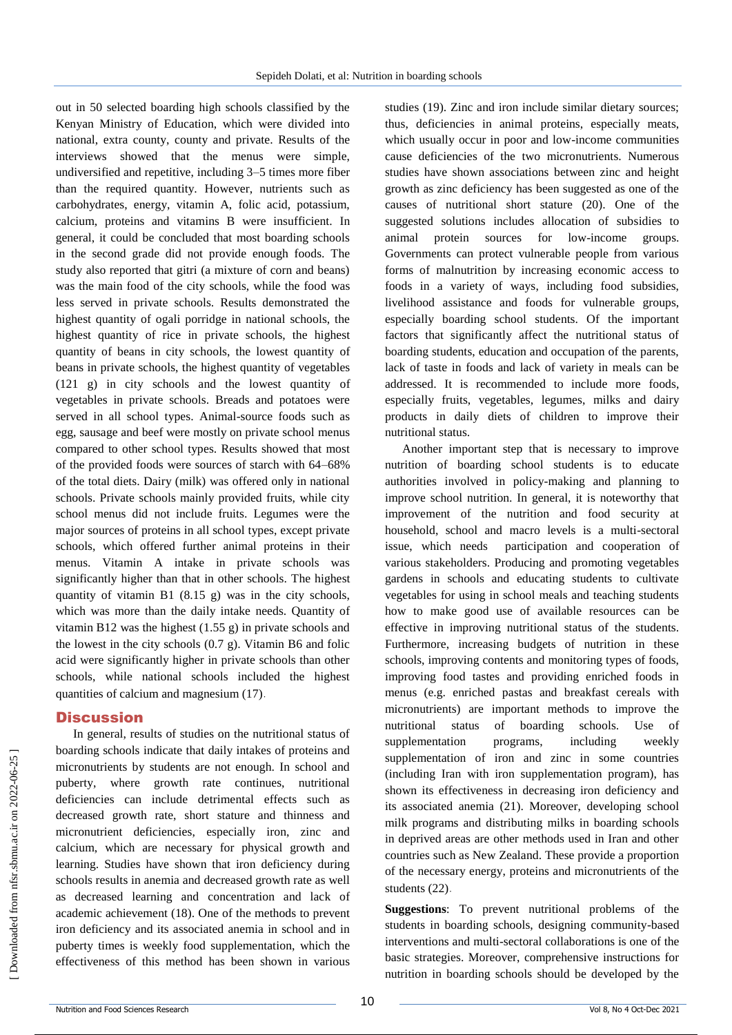out in 50 selected boarding high schools classified by the Kenyan Ministry of Education, which were divided into national, extra county, county and private. Results of the interviews showed that the menus were simple, undiversified and repetitive, including 3–5 times more fiber than the required quantity. However, nutrients such as carbohydrates, energy, vitamin A, folic acid, potassium, calcium, proteins and vitamins B were insufficient. In general, it could be concluded that most boarding schools in the second grade did not provide enough foods. The study also reported that gitri (a mixture of corn and beans) was the main food of the city schools, while the food was less served in private schools. Results demonstrated the highest quantity of ogali porridge in national schools, the highest quantity of rice in private schools, the highest quantity of beans in city schools, the lowest quantity of beans in private schools, the highest quantity of vegetables (121 g) in city schools and the lowest quantity of vegetables in private schools. Breads and potatoes were served in all school types. Animal-source foods such as egg, sausage and beef were mostly on private school menus compared to other school types. Results showed that most of the provided foods were sources of starch with 64–68% of the total diets. Dairy (milk) was offered only in national schools. Private schools mainly provided fruits, while city school menus did not include fruits. Legumes were the major sources of proteins in all school types, except private schools, which offered further animal proteins in their menus. Vitamin A intake in private schools was significantly higher than that in other schools. The highest quantity of vitamin B1 (8.15 g) was in the city schools, which was more than the daily intake needs. Quantity of vitamin B12 was the highest  $(1.55 g)$  in private schools and the lowest in the city schools (0.7 g). Vitamin B6 and folic acid were significantly higher in private schools than other schools, while national schools included the highest quantities of calcium and magnesium (17).

#### **Discussion**

In general, results of studies on the nutritional status of boarding schools indicate that daily intakes of proteins and micronutrients by students are not enough. In school and puberty, where growth rate continues, nutritional deficiencies can include detrimental effects such as decreased growth rate, short stature and thinness and micronutrient deficiencies, especially iron, zinc and calcium, which are necessary for physical growth and learning. Studies have shown that iron deficiency during schools results in anemia and decreased growth rate as well as decreased learning and concentration and lack of academic achievement (18). One of the methods to prevent iron deficiency and its associated anemia in school and in puberty times is weekly food supplementation, which the effectiveness of this method has been shown in various

studies (19). Zinc and iron include similar dietary sources; thus, deficiencies in animal proteins, especially meats, which usually occur in poor and low-income communities cause deficiencies of the two micronutrients. Numerous studies have shown associations between zinc and height growth as zinc deficiency has been suggested as one of the causes of nutritional short stature (20). One of the suggested solutions includes allocation of subsidies to animal protein sources for low-income groups. Governments can protect vulnerable people from various forms of malnutrition by increasing economic access to foods in a variety of ways, including food subsidies, livelihood assistance and foods for vulnerable groups, especially boarding school students. Of the important factors that significantly affect the nutritional status of boarding students, education and occupation of the parents, lack of taste in foods and lack of variety in meals can be addressed. It is recommended to include more foods, especially fruits, vegetables, legumes, milks and dairy products in daily diets of children to improve their nutritional status.

Another important step that is necessary to improve nutrition of boarding school students is to educate authorities involved in policy-making and planning to improve school nutrition. In general, it is noteworthy that improvement of the nutrition and food security at household, school and macro levels is a multi-sectoral issue, which needs participation and cooperation of various stakeholders. Producing and promoting vegetables gardens in schools and educating students to cultivate vegetables for using in school meals and teaching students how to make good use of available resources can be effective in improving nutritional status of the students. Furthermore, increasing budgets of nutrition in these schools, improving contents and monitoring types of foods, improving food tastes and providing enriched foods in menus (e.g. enriched pastas and breakfast cereals with micronutrients) are important methods to improve the nutritional status of boarding schools. Use of supplementation programs, including weekly supplementation of iron and zinc in some countries (including Iran with iron supplementation program), has shown its effectiveness in decreasing iron deficiency and its associated anemia (21). Moreover, developing school milk programs and distributing milks in boarding schools in deprived areas are other methods used in Iran and other countries such as New Zealand. These provide a proportion of the necessary energy, proteins and micronutrients of the students (22).

**Suggestions**: To prevent nutritional problems of the students in boarding schools, designing community-based interventions and multi-sectoral collaborations is one of the basic strategies. Moreover, comprehensive instructions for nutrition in boarding schools should be developed by the